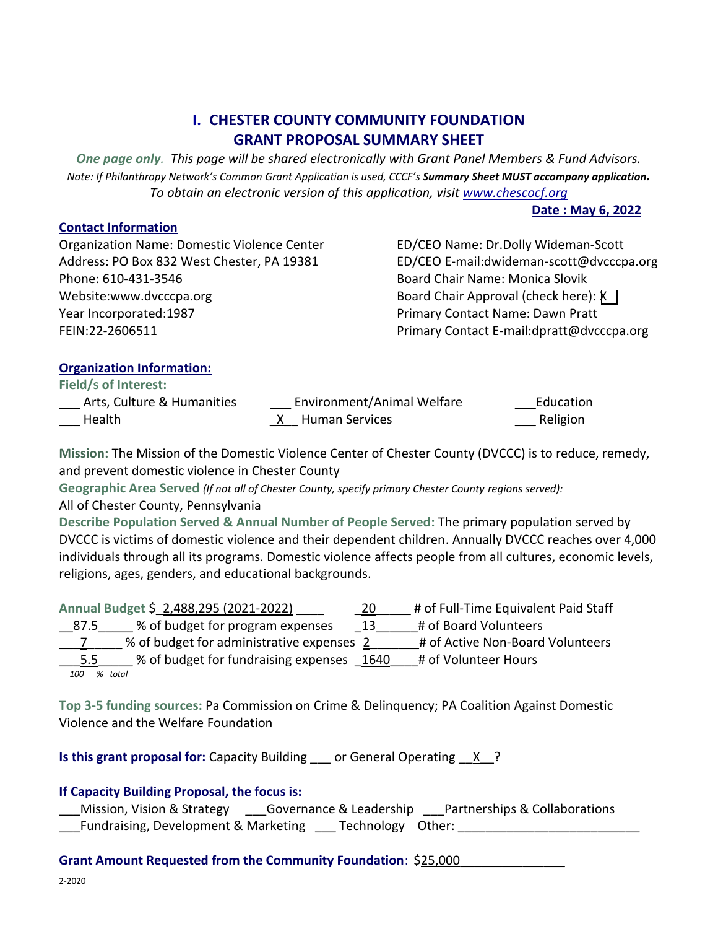# **I. CHESTER COUNTY COMMUNITY FOUNDATION GRANT PROPOSAL SUMMARY SHEET**

*One page only. This page will be shared electronically with Grant Panel Members & Fund Advisors. Note: If Philanthropy Network's Common Grant Application is used, CCCF's Summary Sheet MUST accompany application. To obtain an electronic version of this application, visi[t www.chescocf.org](http://www.chescocf.org/)*

**Date : May 6, 2022**

**Contact Information** Organization Name: Domestic Violence Center **ED/CEO Name: Dr.Dolly Wideman-Scott** Phone: 610-431-3546 Board Chair Name: Monica Slovik Website:www.dvcccpa.org Board Chair Approval (check here): X x Year Incorporated:1987 Primary Contact Name: Dawn Pratt

Address: PO Box 832 West Chester, PA 19381 ED/CEO E-mail:dwideman-scott@dvcccpa.org FEIN:22-2606511 **Primary Contact E-mail:dpratt@dvcccpa.org** Primary Contact E-mail:dpratt@dvcccpa.org

## **Organization Information:**

**Field/s of Interest:** 

| Arts, Culture & Humanities | Environment/Animal Welfare | Education |
|----------------------------|----------------------------|-----------|
| Health                     | <u>X</u> Human Services    | Religion  |

**Mission:** The Mission of the Domestic Violence Center of Chester County (DVCCC) is to reduce, remedy, and prevent domestic violence in Chester County

**Geographic Area Served** *(If not all of Chester County, specify primary Chester County regions served):* All of Chester County, Pennsylvania

**Describe Population Served & Annual Number of People Served:** The primary population served by DVCCC is victims of domestic violence and their dependent children. Annually DVCCC reaches over 4,000 individuals through all its programs. Domestic violence affects people from all cultures, economic levels, religions, ages, genders, and educational backgrounds.

|               | Annual Budget \$ 2,488,295 (2021-2022)    | -20  | # of Full-Time Equivalent Paid Staff |
|---------------|-------------------------------------------|------|--------------------------------------|
| <u>87.5</u>   | % of budget for program expenses          | 13   | # of Board Volunteers                |
|               | % of budget for administrative expenses 2 |      | # of Active Non-Board Volunteers     |
| $5.5^{\circ}$ | % of budget for fundraising expenses      | 1640 | # of Volunteer Hours                 |
| 100           | % total                                   |      |                                      |

**Top 3-5 funding sources:** Pa Commission on Crime & Delinquency; PA Coalition Against Domestic Violence and the Welfare Foundation

**Is this grant proposal for:** Capacity Building \_\_\_ or General Operating \_\_X\_?

## **If Capacity Building Proposal, the focus is:**

\_\_\_Mission, Vision & Strategy \_\_\_Governance & Leadership \_\_\_Partnerships & Collaborations Fundraising, Development & Marketing Technology Other:

### **Grant Amount Requested from the Community Foundation**: \$25,000\_\_\_\_\_\_\_\_\_\_\_\_\_\_\_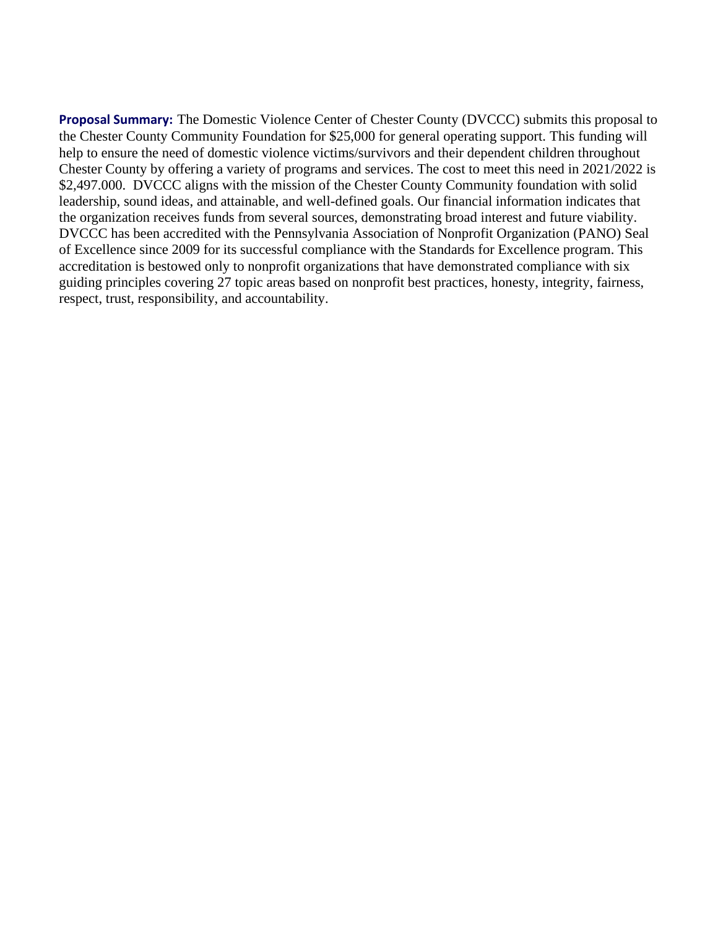**Proposal Summary:** The Domestic Violence Center of Chester County (DVCCC) submits this proposal to the Chester County Community Foundation for \$25,000 for general operating support. This funding will help to ensure the need of domestic violence victims/survivors and their dependent children throughout Chester County by offering a variety of programs and services. The cost to meet this need in 2021/2022 is \$2,497.000. DVCCC aligns with the mission of the Chester County Community foundation with solid leadership, sound ideas, and attainable, and well-defined goals. Our financial information indicates that the organization receives funds from several sources, demonstrating broad interest and future viability. DVCCC has been accredited with the Pennsylvania Association of Nonprofit Organization (PANO) Seal of Excellence since 2009 for its successful compliance with the Standards for Excellence program. This accreditation is bestowed only to nonprofit organizations that have demonstrated compliance with six guiding principles covering 27 topic areas based on nonprofit best practices, honesty, integrity, fairness, respect, trust, responsibility, and accountability.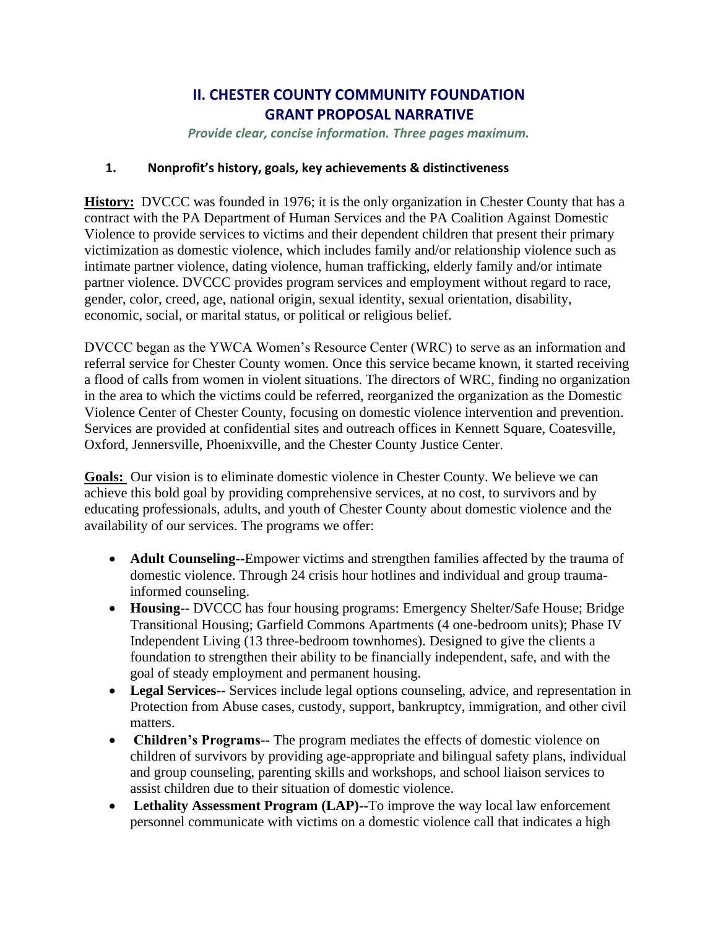# **II. CHESTER COUNTY COMMUNITY FOUNDATION GRANT PROPOSAL NARRATIVE**

*Provide clear, concise information. Three pages maximum.* 

### **1. Nonprofit's history, goals, key achievements & distinctiveness**

**History:** DVCCC was founded in 1976; it is the only organization in Chester County that has a contract with the PA Department of Human Services and the PA Coalition Against Domestic Violence to provide services to victims and their dependent children that present their primary victimization as domestic violence, which includes family and/or relationship violence such as intimate partner violence, dating violence, human trafficking, elderly family and/or intimate partner violence. DVCCC provides program services and employment without regard to race, gender, color, creed, age, national origin, sexual identity, sexual orientation, disability, economic, social, or marital status, or political or religious belief.

DVCCC began as the YWCA Women's Resource Center (WRC) to serve as an information and referral service for Chester County women. Once this service became known, it started receiving a flood of calls from women in violent situations. The directors of WRC, finding no organization in the area to which the victims could be referred, reorganized the organization as the Domestic Violence Center of Chester County, focusing on domestic violence intervention and prevention. Services are provided at confidential sites and outreach offices in Kennett Square, Coatesville, Oxford, Jennersville, Phoenixville, and the Chester County Justice Center.

**Goals:** Our vision is to eliminate domestic violence in Chester County. We believe we can achieve this bold goal by providing comprehensive services, at no cost, to survivors and by educating professionals, adults, and youth of Chester County about domestic violence and the availability of our services. The programs we offer:

- **Adult Counseling--**Empower victims and strengthen families affected by the trauma of domestic violence. Through 24 crisis hour hotlines and individual and group traumainformed counseling.
- **Housing--** DVCCC has four housing programs: Emergency Shelter/Safe House; Bridge Transitional Housing; Garfield Commons Apartments (4 one-bedroom units); Phase IV Independent Living (13 three-bedroom townhomes). Designed to give the clients a foundation to strengthen their ability to be financially independent, safe, and with the goal of steady employment and permanent housing.
- **Legal Services--** Services include legal options counseling, advice, and representation in Protection from Abuse cases, custody, support, bankruptcy, immigration, and other civil matters.
- **Children's Programs--** The program mediates the effects of domestic violence on children of survivors by providing age-appropriate and bilingual safety plans, individual and group counseling, parenting skills and workshops, and school liaison services to assist children due to their situation of domestic violence.
- Lethality Assessment Program (LAP)--To improve the way local law enforcement personnel communicate with victims on a domestic violence call that indicates a high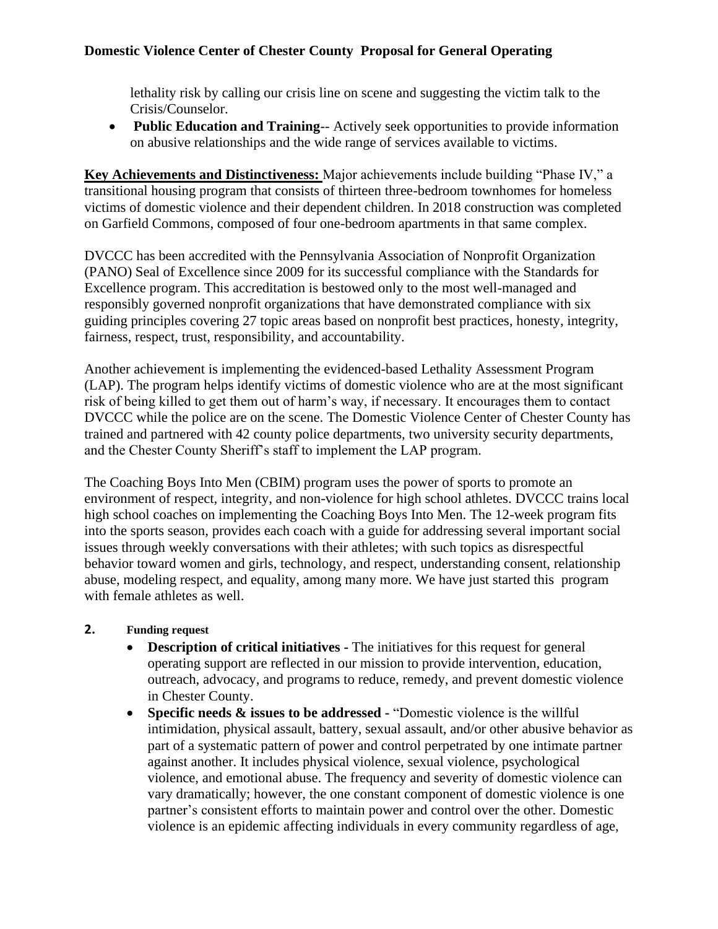## **Domestic Violence Center of Chester County Proposal for General Operating**

lethality risk by calling our crisis line on scene and suggesting the victim talk to the Crisis/Counselor.

• **Public Education and Training**-- Actively seek opportunities to provide information on abusive relationships and the wide range of services available to victims.

**Key Achievements and Distinctiveness:** Major achievements include building "Phase IV," a transitional housing program that consists of thirteen three-bedroom townhomes for homeless victims of domestic violence and their dependent children. In 2018 construction was completed on Garfield Commons, composed of four one-bedroom apartments in that same complex.

DVCCC has been accredited with the Pennsylvania Association of Nonprofit Organization (PANO) Seal of Excellence since 2009 for its successful compliance with the Standards for Excellence program. This accreditation is bestowed only to the most well-managed and responsibly governed nonprofit organizations that have demonstrated compliance with six guiding principles covering 27 topic areas based on nonprofit best practices, honesty, integrity, fairness, respect, trust, responsibility, and accountability.

Another achievement is implementing the evidenced-based Lethality Assessment Program (LAP). The program helps identify victims of domestic violence who are at the most significant risk of being killed to get them out of harm's way, if necessary. It encourages them to contact DVCCC while the police are on the scene. The Domestic Violence Center of Chester County has trained and partnered with 42 county police departments, two university security departments, and the Chester County Sheriff's staff to implement the LAP program.

The Coaching Boys Into Men (CBIM) program uses the power of sports to promote an environment of respect, integrity, and non-violence for high school athletes. DVCCC trains local high school coaches on implementing the Coaching Boys Into Men. The 12-week program fits into the sports season, provides each coach with a guide for addressing several important social issues through weekly conversations with their athletes; with such topics as disrespectful behavior toward women and girls, technology, and respect, understanding consent, relationship abuse, modeling respect, and equality, among many more. We have just started this program with female athletes as well.

### **2. Funding request**

- **Description of critical initiatives -** The initiatives for this request for general operating support are reflected in our mission to provide intervention, education, outreach, advocacy, and programs to reduce, remedy, and prevent domestic violence in Chester County.
- **Specific needs & issues to be addressed -** "Domestic violence is the willful intimidation, physical assault, battery, sexual assault, and/or other [abusive behavior](http://www.ncadv.org/learn-more/what-is-domestic-violence/abusive-partner-signs) as part of a systematic pattern of power and control perpetrated by one intimate partner against another. It includes physical violence, sexual violence, psychological violence, and emotional abuse. The frequency and severity of domestic violence can vary dramatically; however, the one constant component of domestic violence is one partner's consistent efforts to maintain [power and control](http://www.ncadv.org/learn-more/what-is-domestic-violence/dynamics-of-abuse) over the other. Domestic violence is an epidemic affecting individuals in every community regardless of age,